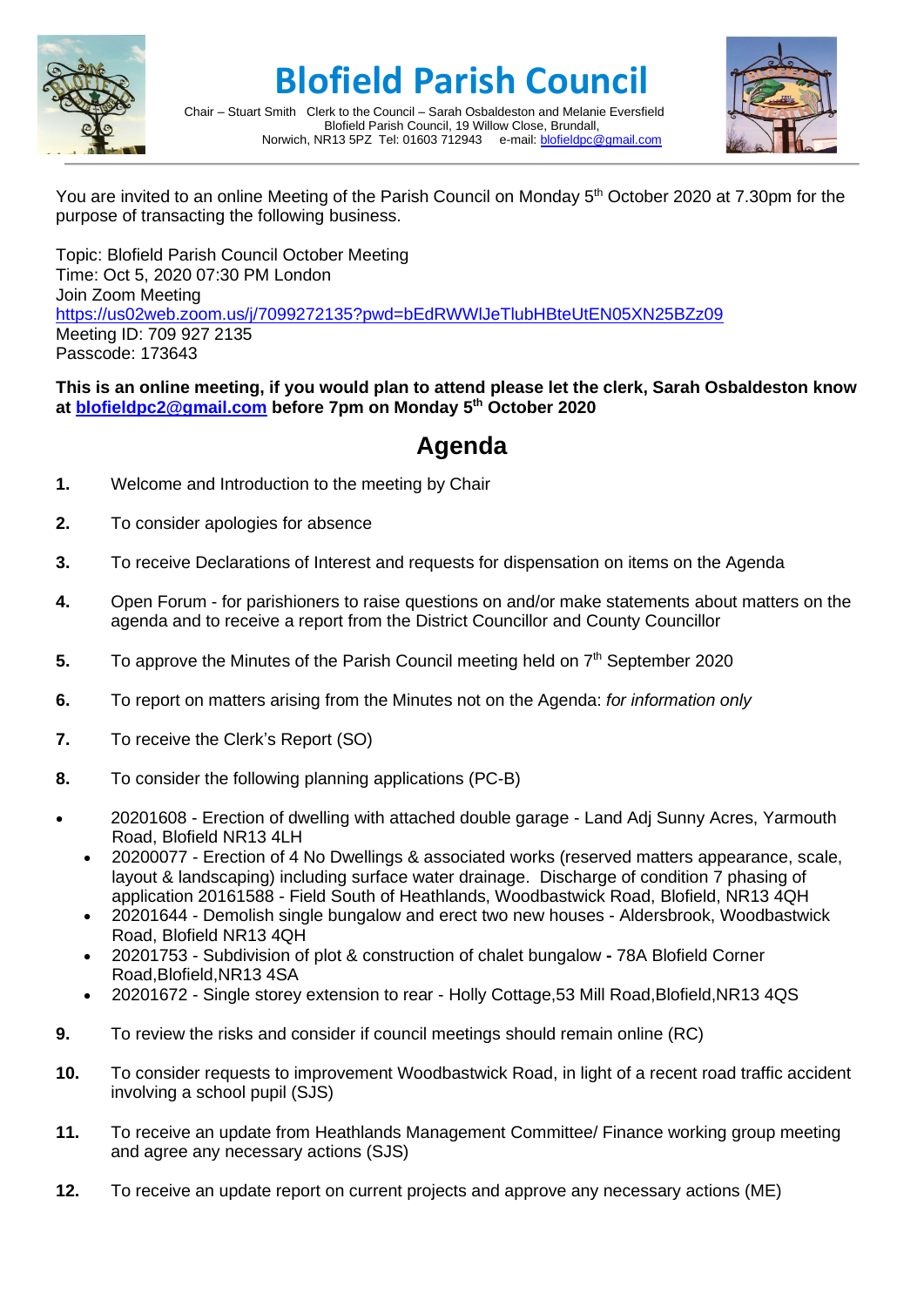

## **Blofield Parish Council**



Chair – Stuart Smith Clerk to the Council – Sarah Osbaldeston and Melanie Eversfield Blofield Parish Council, 19 Willow Close, Brundall, Norwich, NR13 5PZ Tel: 01603 712943 e-mail: [blofieldpc@gmail.com](mailto:blofieldpc@gmail.com)

You are invited to an online Meeting of the Parish Council on Monday 5<sup>th</sup> October 2020 at 7.30pm for the purpose of transacting the following business.

Topic: Blofield Parish Council October Meeting Time: Oct 5, 2020 07:30 PM London Join Zoom Meeting <https://us02web.zoom.us/j/7099272135?pwd=bEdRWWlJeTlubHBteUtEN05XN25BZz09> Meeting ID: 709 927 2135 Passcode: 173643

**This is an online meeting, if you would plan to attend please let the clerk, Sarah Osbaldeston know at [blofieldpc2@gmail.com](mailto:blofieldpc2@gmail.com) before 7pm on Monday 5 th October 2020**

## **Agenda**

- **1.** Welcome and Introduction to the meeting by Chair
- **2.** To consider apologies for absence
- **3.** To receive Declarations of Interest and requests for dispensation on items on the Agenda
- **4.** Open Forum for parishioners to raise questions on and/or make statements about matters on the agenda and to receive a report from the District Councillor and County Councillor
- 5. To approve the Minutes of the Parish Council meeting held on 7<sup>th</sup> September 2020
- **6.** To report on matters arising from the Minutes not on the Agenda: *for information only*
- **7.** To receive the Clerk's Report (SO)
- **8.** To consider the following planning applications (PC-B)
- 20201608 Erection of dwelling with attached double garage Land Adj Sunny Acres, Yarmouth Road, Blofield NR13 4LH
	- 20200077 Erection of 4 No Dwellings & associated works (reserved matters appearance, scale, layout & landscaping) including surface water drainage. Discharge of condition 7 phasing of application 20161588 - Field South of Heathlands, Woodbastwick Road, Blofield, NR13 4QH
	- 20201644 Demolish single bungalow and erect two new houses Aldersbrook, Woodbastwick Road, Blofield NR13 4QH
	- 20201753 Subdivision of plot & construction of chalet bungalow **-** 78A Blofield Corner Road,Blofield,NR13 4SA
	- 20201672 Single storey extension to rear Holly Cottage,53 Mill Road,Blofield,NR13 4QS
- **9.** To review the risks and consider if council meetings should remain online (RC)
- **10.** To consider requests to improvement Woodbastwick Road, in light of a recent road traffic accident involving a school pupil (SJS)
- **11.** To receive an update from Heathlands Management Committee/ Finance working group meeting and agree any necessary actions (SJS)
- **12.** To receive an update report on current projects and approve any necessary actions (ME)